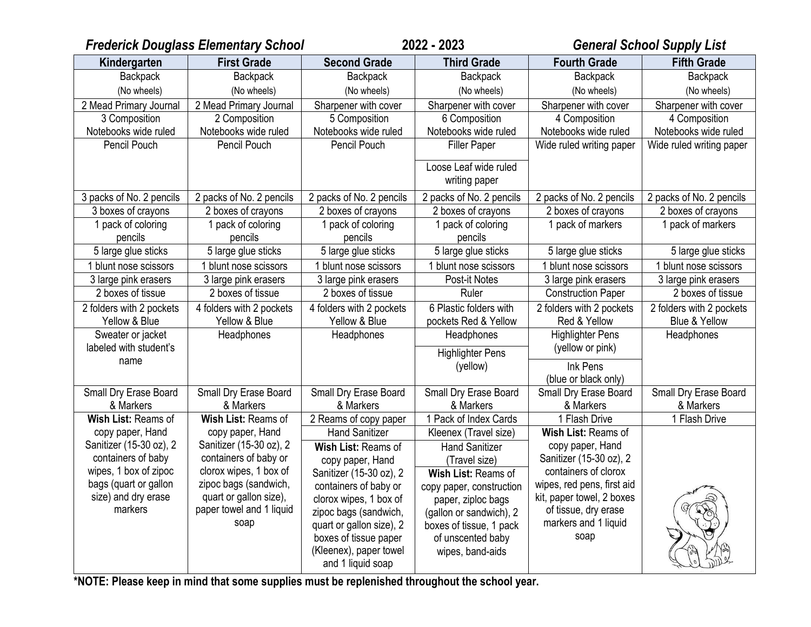| <b>Frederick Douglass Elementary School</b> |                                                    | 2022 - 2023                                       |                                                | <b>General School Supply List</b>                 |                                           |
|---------------------------------------------|----------------------------------------------------|---------------------------------------------------|------------------------------------------------|---------------------------------------------------|-------------------------------------------|
| Kindergarten                                | <b>First Grade</b>                                 | <b>Second Grade</b>                               | <b>Third Grade</b>                             | <b>Fourth Grade</b>                               | <b>Fifth Grade</b>                        |
| Backpack                                    | <b>Backpack</b>                                    | <b>Backpack</b>                                   | <b>Backpack</b>                                | <b>Backpack</b>                                   | <b>Backpack</b>                           |
| (No wheels)                                 | (No wheels)                                        | (No wheels)                                       | (No wheels)                                    | (No wheels)                                       | (No wheels)                               |
| 2 Mead Primary Journal                      | 2 Mead Primary Journal                             | Sharpener with cover                              | Sharpener with cover                           | Sharpener with cover                              | Sharpener with cover                      |
| 3 Composition                               | 2 Composition                                      | 5 Composition                                     | 6 Composition                                  | 4 Composition                                     | 4 Composition                             |
| Notebooks wide ruled                        | Notebooks wide ruled                               | Notebooks wide ruled                              | Notebooks wide ruled                           | Notebooks wide ruled                              | Notebooks wide ruled                      |
| Pencil Pouch                                | Pencil Pouch                                       | Pencil Pouch                                      | Filler Paper                                   | Wide ruled writing paper                          | Wide ruled writing paper                  |
|                                             |                                                    |                                                   | Loose Leaf wide ruled<br>writing paper         |                                                   |                                           |
| 3 packs of No. 2 pencils                    | 2 packs of No. 2 pencils                           | 2 packs of No. 2 pencils                          | 2 packs of No. 2 pencils                       | 2 packs of No. 2 pencils                          | 2 packs of No. 2 pencils                  |
| 3 boxes of crayons                          | 2 boxes of crayons                                 | 2 boxes of crayons                                | 2 boxes of crayons                             | 2 boxes of crayons                                | 2 boxes of crayons                        |
| 1 pack of coloring<br>pencils               | 1 pack of coloring<br>pencils                      | 1 pack of coloring<br>pencils                     | 1 pack of coloring<br>pencils                  | 1 pack of markers                                 | 1 pack of markers                         |
| 5 large glue sticks                         | 5 large glue sticks                                | 5 large glue sticks                               | 5 large glue sticks                            | 5 large glue sticks                               | 5 large glue sticks                       |
| 1 blunt nose scissors                       | blunt nose scissors                                | blunt nose scissors                               | 1 blunt nose scissors                          | blunt nose scissors                               | 1 blunt nose scissors                     |
| 3 large pink erasers                        | 3 large pink erasers                               | 3 large pink erasers                              | Post-it Notes                                  | 3 large pink erasers                              | 3 large pink erasers                      |
| 2 boxes of tissue                           | 2 boxes of tissue                                  | 2 boxes of tissue                                 | Ruler                                          | <b>Construction Paper</b>                         | 2 boxes of tissue                         |
| 2 folders with 2 pockets<br>Yellow & Blue   | 4 folders with 2 pockets<br>Yellow & Blue          | 4 folders with 2 pockets<br>Yellow & Blue         | 6 Plastic folders with<br>pockets Red & Yellow | 2 folders with 2 pockets<br>Red & Yellow          | 2 folders with 2 pockets<br>Blue & Yellow |
| Sweater or jacket                           | Headphones                                         | Headphones                                        | Headphones                                     | <b>Highlighter Pens</b>                           | Headphones                                |
| labeled with student's                      |                                                    |                                                   | <b>Highlighter Pens</b>                        | (yellow or pink)                                  |                                           |
| name                                        |                                                    |                                                   | (yellow)                                       | Ink Pens                                          |                                           |
|                                             |                                                    |                                                   |                                                | (blue or black only)                              |                                           |
| Small Dry Erase Board                       | Small Dry Erase Board                              | Small Dry Erase Board                             | Small Dry Erase Board                          | Small Dry Erase Board                             | Small Dry Erase Board                     |
| & Markers                                   | & Markers                                          | & Markers                                         | & Markers                                      | & Markers                                         | & Markers                                 |
| Wish List: Reams of                         | Wish List: Reams of                                | 2 Reams of copy paper                             | 1 Pack of Index Cards                          | 1 Flash Drive                                     | 1 Flash Drive                             |
| copy paper, Hand                            | copy paper, Hand                                   | <b>Hand Sanitizer</b>                             | Kleenex (Travel size)                          | Wish List: Reams of                               |                                           |
| Sanitizer (15-30 oz), 2                     | Sanitizer (15-30 oz), 2                            | Wish List: Reams of                               | <b>Hand Sanitizer</b>                          | copy paper, Hand                                  |                                           |
| containers of baby                          | containers of baby or                              | copy paper, Hand                                  | (Travel size)                                  | Sanitizer (15-30 oz), 2                           |                                           |
| wipes, 1 box of zipoc                       | clorox wipes, 1 box of                             | Sanitizer (15-30 oz), 2                           | Wish List: Reams of                            | containers of clorox                              |                                           |
| bags (quart or gallon                       | zipoc bags (sandwich,                              | containers of baby or                             | copy paper, construction                       | wipes, red pens, first aid                        |                                           |
| size) and dry erase<br>markers              | quart or gallon size),<br>paper towel and 1 liquid | clorox wipes, 1 box of                            | paper, ziploc bags                             | kit, paper towel, 2 boxes<br>of tissue, dry erase |                                           |
|                                             | soap                                               | zipoc bags (sandwich,                             | (gallon or sandwich), 2                        | markers and 1 liquid                              |                                           |
|                                             |                                                    | quart or gallon size), 2<br>boxes of tissue paper | boxes of tissue, 1 pack<br>of unscented baby   | soap                                              |                                           |
|                                             |                                                    | (Kleenex), paper towel<br>and 1 liquid soap       | wipes, band-aids                               |                                                   |                                           |

**\*NOTE: Please keep in mind that some supplies must be replenished throughout the school year.**